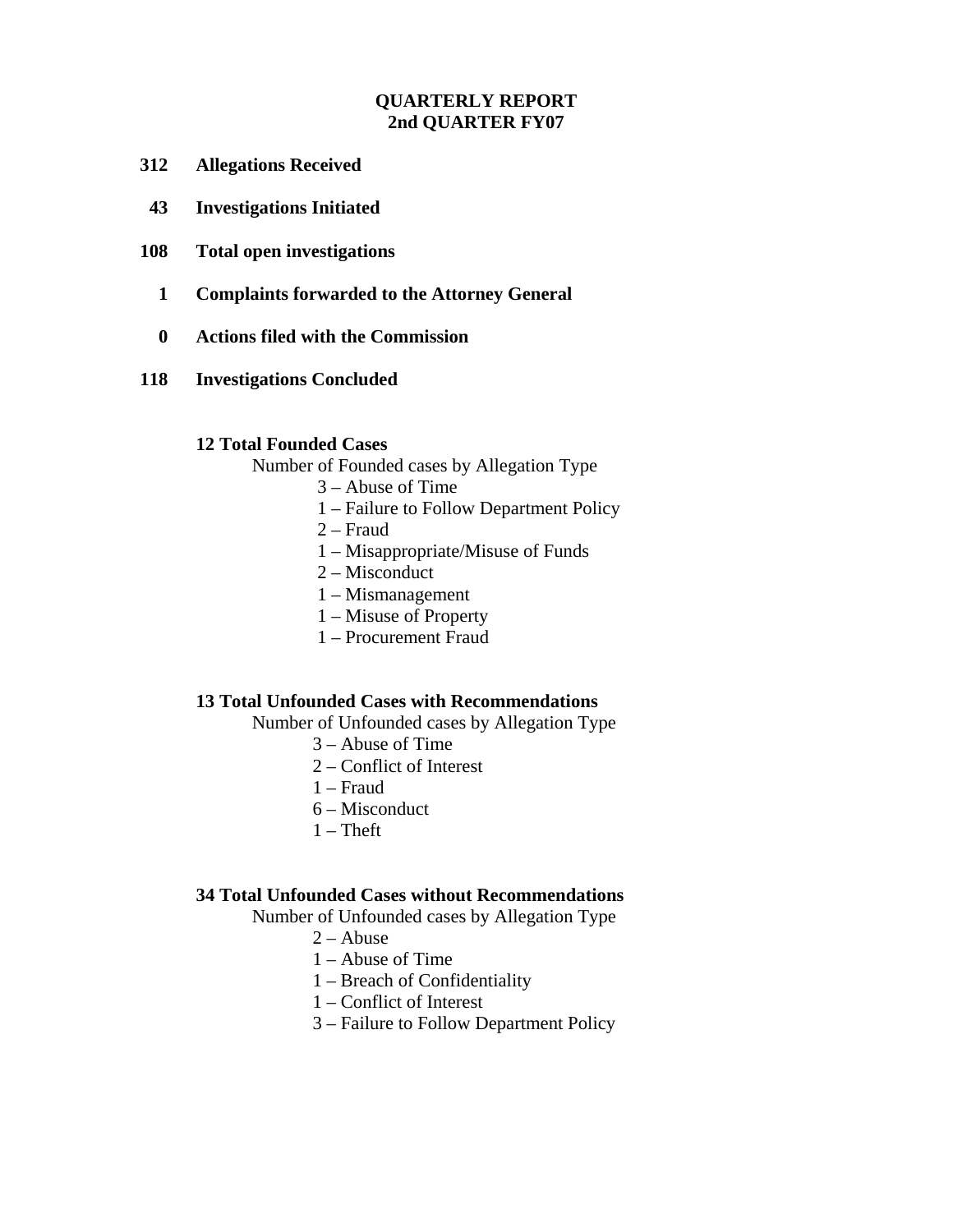## **QUARTERLY REPORT 2nd QUARTER FY07**

- **312 Allegations Received**
- **43 Investigations Initiated**
- **108 Total open investigations** 
	- **1 Complaints forwarded to the Attorney General**
	- **0 Actions filed with the Commission**
- **118 Investigations Concluded**

#### **12 Total Founded Cases**

Number of Founded cases by Allegation Type

- 3 Abuse of Time
- 1 Failure to Follow Department Policy
- 2 Fraud
- 1 Misappropriate/Misuse of Funds
- 2 Misconduct
- 1 Mismanagement
- 1 Misuse of Property
- 1 Procurement Fraud

#### **13 Total Unfounded Cases with Recommendations**

Number of Unfounded cases by Allegation Type

- 3 Abuse of Time
- 2 Conflict of Interest
- 1 Fraud
- 6 Misconduct
- $1$  Theft

## **34 Total Unfounded Cases without Recommendations**

Number of Unfounded cases by Allegation Type

- $2 -$ Abuse
- 1 Abuse of Time
- 1 Breach of Confidentiality
- 1 Conflict of Interest
- 3 Failure to Follow Department Policy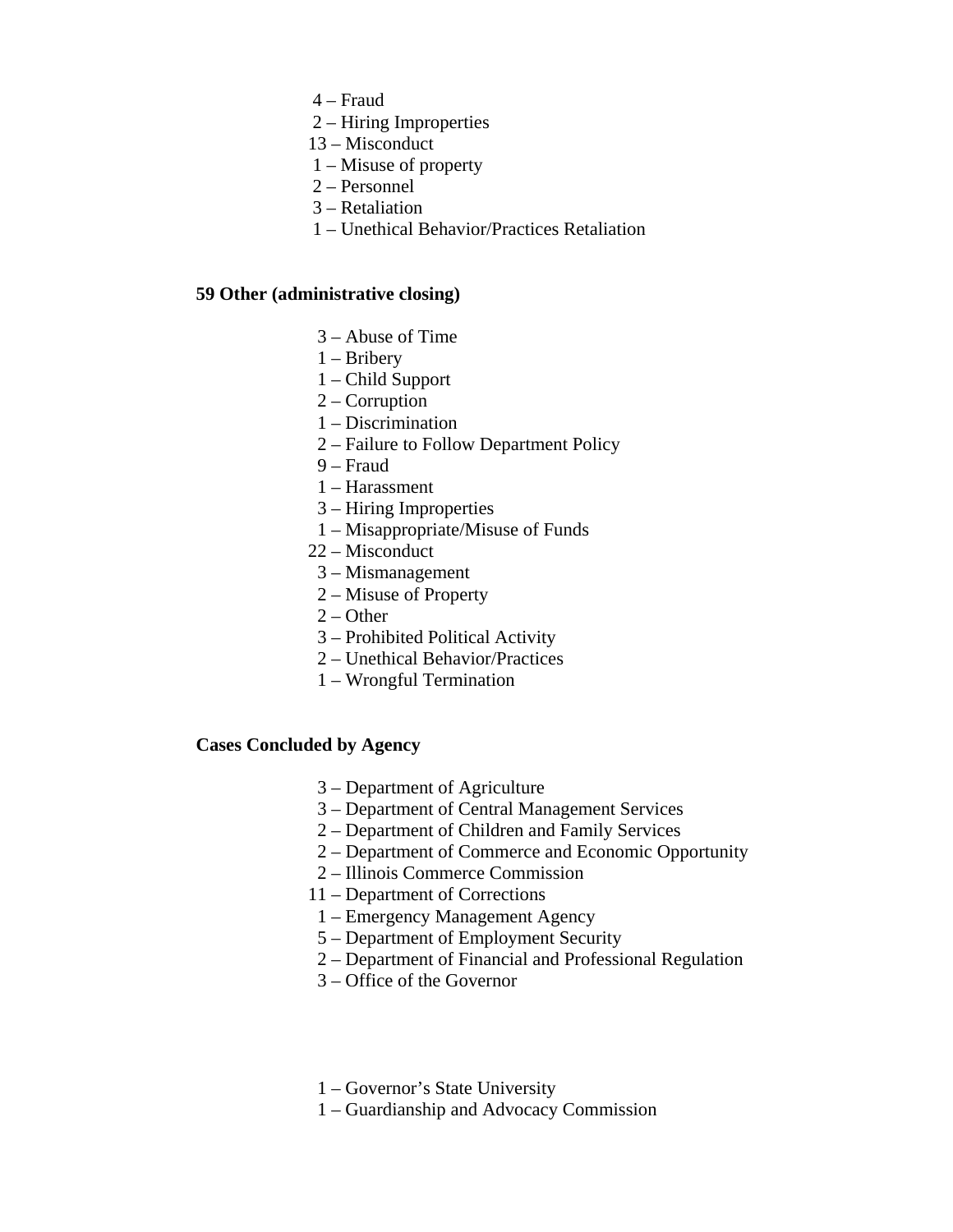- 4 Fraud
- 2 Hiring Improperties
- 13 Misconduct
- 1 Misuse of property
- 2 Personnel
- 3 Retaliation
- 1 Unethical Behavior/Practices Retaliation

# **59 Other (administrative closing)**

- 3 Abuse of Time
- 1 Bribery
- 1 Child Support
- 2 Corruption
- 1 Discrimination
- 2 Failure to Follow Department Policy
- 9 Fraud
- 1 Harassment
- 3 Hiring Improperties
- 1 Misappropriate/Misuse of Funds
- 22 Misconduct
	- 3 Mismanagement
	- 2 Misuse of Property
	- $2 Other$
	- 3 Prohibited Political Activity
	- 2 Unethical Behavior/Practices
	- 1 Wrongful Termination

## **Cases Concluded by Agency**

- 3 Department of Agriculture
- 3 Department of Central Management Services
- 2 Department of Children and Family Services
- 2 Department of Commerce and Economic Opportunity
- 2 Illinois Commerce Commission
- 11 Department of Corrections
- 1 Emergency Management Agency
- 5 Department of Employment Security
- 2 Department of Financial and Professional Regulation
- 3 Office of the Governor
- 1 Governor's State University
- 1 Guardianship and Advocacy Commission